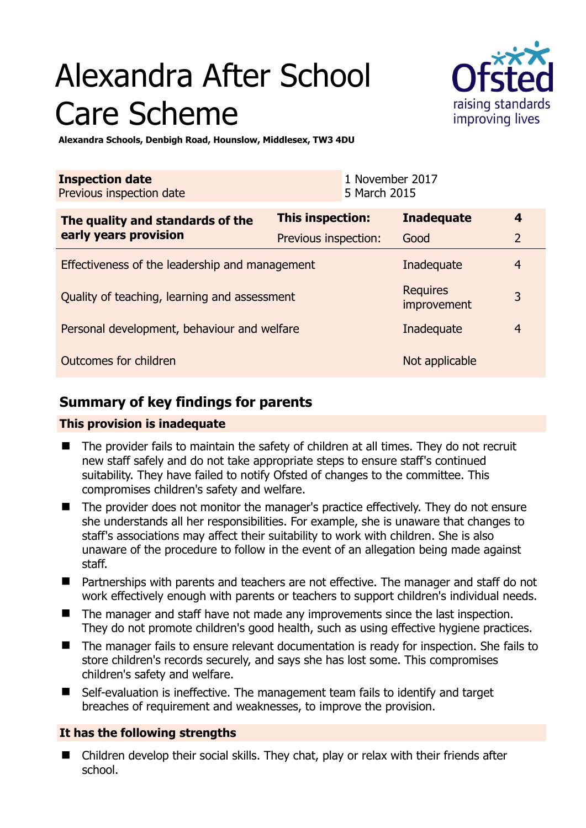# Alexandra After School Care Scheme



**Alexandra Schools, Denbigh Road, Hounslow, Middlesex, TW3 4DU** 

| <b>Inspection date</b><br>Previous inspection date        |                      | 1 November 2017<br>5 March 2015 |                                |                |
|-----------------------------------------------------------|----------------------|---------------------------------|--------------------------------|----------------|
| The quality and standards of the<br>early years provision | This inspection:     |                                 | <b>Inadequate</b>              | 4              |
|                                                           | Previous inspection: |                                 | Good                           | $\overline{2}$ |
| Effectiveness of the leadership and management            |                      |                                 | Inadequate                     | $\overline{4}$ |
| Quality of teaching, learning and assessment              |                      |                                 | <b>Requires</b><br>improvement | 3              |
| Personal development, behaviour and welfare               |                      |                                 | Inadequate                     | $\overline{4}$ |
| Outcomes for children                                     |                      |                                 | Not applicable                 |                |

# **Summary of key findings for parents**

## **This provision is inadequate**

- The provider fails to maintain the safety of children at all times. They do not recruit new staff safely and do not take appropriate steps to ensure staff's continued suitability. They have failed to notify Ofsted of changes to the committee. This compromises children's safety and welfare.
- The provider does not monitor the manager's practice effectively. They do not ensure she understands all her responsibilities. For example, she is unaware that changes to staff's associations may affect their suitability to work with children. She is also unaware of the procedure to follow in the event of an allegation being made against staff.
- Partnerships with parents and teachers are not effective. The manager and staff do not work effectively enough with parents or teachers to support children's individual needs.
- The manager and staff have not made any improvements since the last inspection. They do not promote children's good health, such as using effective hygiene practices.
- The manager fails to ensure relevant documentation is ready for inspection. She fails to store children's records securely, and says she has lost some. This compromises children's safety and welfare.
- Self-evaluation is ineffective. The management team fails to identify and target breaches of requirement and weaknesses, to improve the provision.

## **It has the following strengths**

 Children develop their social skills. They chat, play or relax with their friends after school.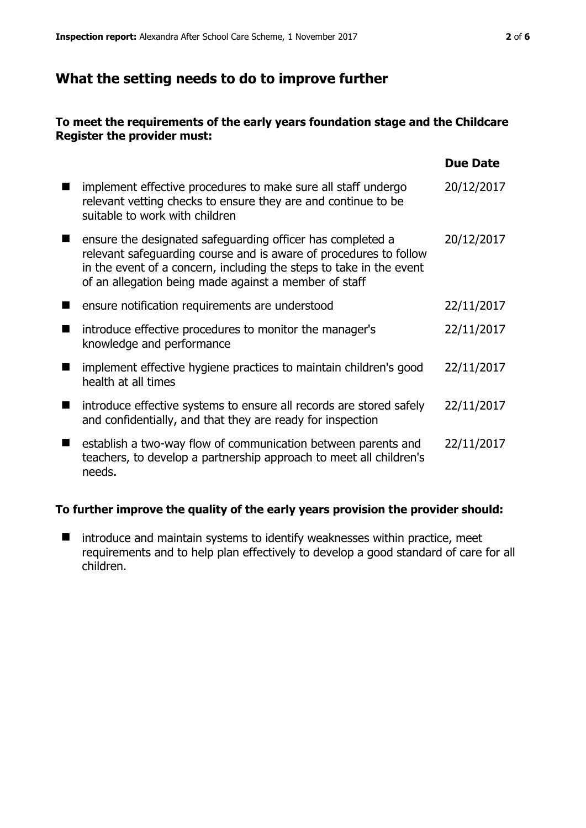# **What the setting needs to do to improve further**

### **To meet the requirements of the early years foundation stage and the Childcare Register the provider must:**

|                                                                                                                                                                                                                                                                 | <b>Due Date</b> |
|-----------------------------------------------------------------------------------------------------------------------------------------------------------------------------------------------------------------------------------------------------------------|-----------------|
| implement effective procedures to make sure all staff undergo<br>relevant vetting checks to ensure they are and continue to be<br>suitable to work with children                                                                                                | 20/12/2017      |
| ensure the designated safeguarding officer has completed a<br>relevant safeguarding course and is aware of procedures to follow<br>in the event of a concern, including the steps to take in the event<br>of an allegation being made against a member of staff | 20/12/2017      |
| ensure notification requirements are understood                                                                                                                                                                                                                 | 22/11/2017      |
| introduce effective procedures to monitor the manager's<br>knowledge and performance                                                                                                                                                                            | 22/11/2017      |
| implement effective hygiene practices to maintain children's good<br>health at all times                                                                                                                                                                        | 22/11/2017      |
| introduce effective systems to ensure all records are stored safely<br>and confidentially, and that they are ready for inspection                                                                                                                               | 22/11/2017      |
| establish a two-way flow of communication between parents and<br>teachers, to develop a partnership approach to meet all children's<br>needs.                                                                                                                   | 22/11/2017      |

#### **To further improve the quality of the early years provision the provider should:**

 $\blacksquare$  introduce and maintain systems to identify weaknesses within practice, meet requirements and to help plan effectively to develop a good standard of care for all children.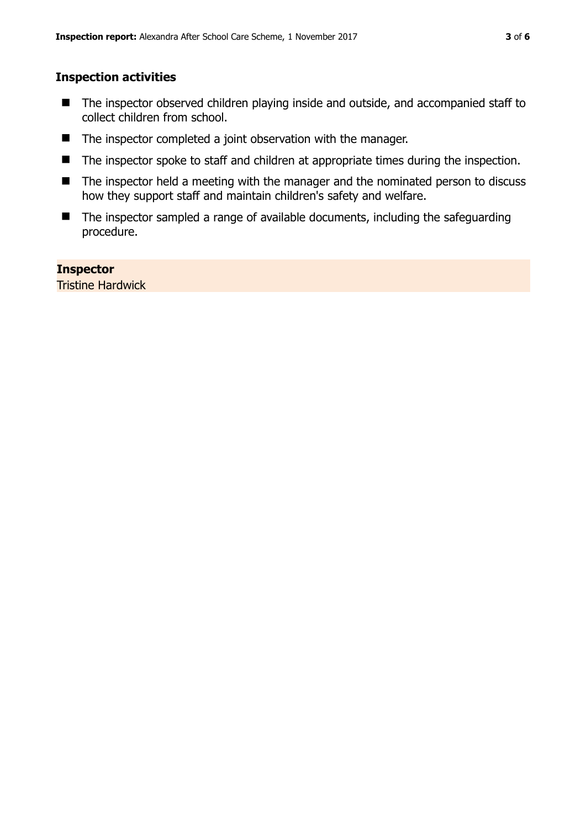## **Inspection activities**

- The inspector observed children playing inside and outside, and accompanied staff to collect children from school.
- The inspector completed a joint observation with the manager.
- The inspector spoke to staff and children at appropriate times during the inspection.
- The inspector held a meeting with the manager and the nominated person to discuss how they support staff and maintain children's safety and welfare.
- $\blacksquare$  The inspector sampled a range of available documents, including the safeguarding procedure.

## **Inspector**

Tristine Hardwick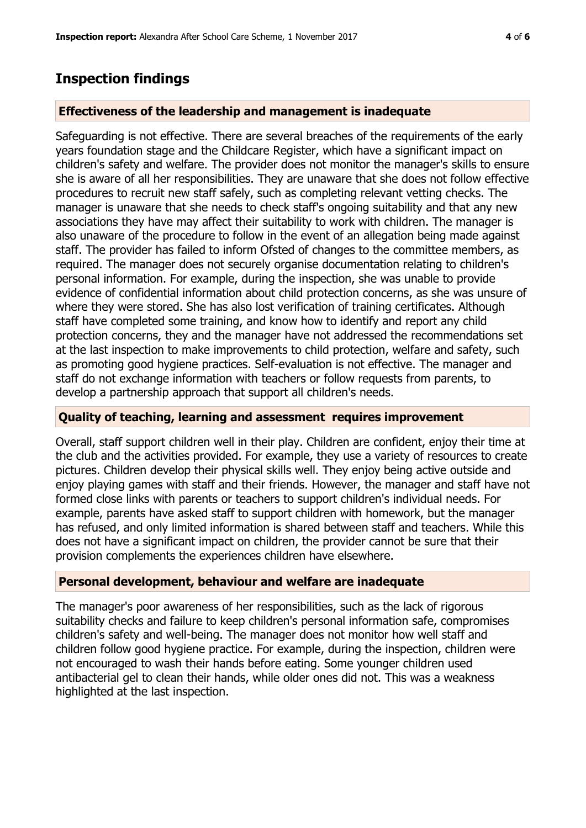## **Inspection findings**

#### **Effectiveness of the leadership and management is inadequate**

Safeguarding is not effective. There are several breaches of the requirements of the early years foundation stage and the Childcare Register, which have a significant impact on children's safety and welfare. The provider does not monitor the manager's skills to ensure she is aware of all her responsibilities. They are unaware that she does not follow effective procedures to recruit new staff safely, such as completing relevant vetting checks. The manager is unaware that she needs to check staff's ongoing suitability and that any new associations they have may affect their suitability to work with children. The manager is also unaware of the procedure to follow in the event of an allegation being made against staff. The provider has failed to inform Ofsted of changes to the committee members, as required. The manager does not securely organise documentation relating to children's personal information. For example, during the inspection, she was unable to provide evidence of confidential information about child protection concerns, as she was unsure of where they were stored. She has also lost verification of training certificates. Although staff have completed some training, and know how to identify and report any child protection concerns, they and the manager have not addressed the recommendations set at the last inspection to make improvements to child protection, welfare and safety, such as promoting good hygiene practices. Self-evaluation is not effective. The manager and staff do not exchange information with teachers or follow requests from parents, to develop a partnership approach that support all children's needs.

#### **Quality of teaching, learning and assessment requires improvement**

Overall, staff support children well in their play. Children are confident, enjoy their time at the club and the activities provided. For example, they use a variety of resources to create pictures. Children develop their physical skills well. They enjoy being active outside and enjoy playing games with staff and their friends. However, the manager and staff have not formed close links with parents or teachers to support children's individual needs. For example, parents have asked staff to support children with homework, but the manager has refused, and only limited information is shared between staff and teachers. While this does not have a significant impact on children, the provider cannot be sure that their provision complements the experiences children have elsewhere.

#### **Personal development, behaviour and welfare are inadequate**

The manager's poor awareness of her responsibilities, such as the lack of rigorous suitability checks and failure to keep children's personal information safe, compromises children's safety and well-being. The manager does not monitor how well staff and children follow good hygiene practice. For example, during the inspection, children were not encouraged to wash their hands before eating. Some younger children used antibacterial gel to clean their hands, while older ones did not. This was a weakness highlighted at the last inspection.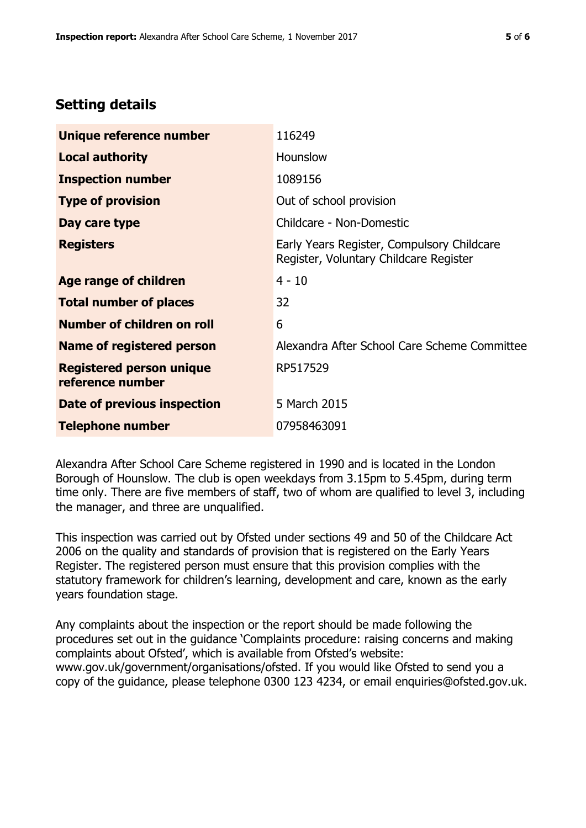# **Setting details**

| Unique reference number                             | 116249                                                                               |
|-----------------------------------------------------|--------------------------------------------------------------------------------------|
| <b>Local authority</b>                              | Hounslow                                                                             |
| <b>Inspection number</b>                            | 1089156                                                                              |
| <b>Type of provision</b>                            | Out of school provision                                                              |
| Day care type                                       | Childcare - Non-Domestic                                                             |
| <b>Registers</b>                                    | Early Years Register, Compulsory Childcare<br>Register, Voluntary Childcare Register |
| Age range of children                               | $4 - 10$                                                                             |
| <b>Total number of places</b>                       | 32                                                                                   |
| Number of children on roll                          | 6                                                                                    |
| Name of registered person                           | Alexandra After School Care Scheme Committee                                         |
| <b>Registered person unique</b><br>reference number | RP517529                                                                             |
| Date of previous inspection                         | 5 March 2015                                                                         |
| <b>Telephone number</b>                             | 07958463091                                                                          |

Alexandra After School Care Scheme registered in 1990 and is located in the London Borough of Hounslow. The club is open weekdays from 3.15pm to 5.45pm, during term time only. There are five members of staff, two of whom are qualified to level 3, including the manager, and three are unqualified.

This inspection was carried out by Ofsted under sections 49 and 50 of the Childcare Act 2006 on the quality and standards of provision that is registered on the Early Years Register. The registered person must ensure that this provision complies with the statutory framework for children's learning, development and care, known as the early years foundation stage.

Any complaints about the inspection or the report should be made following the procedures set out in the guidance 'Complaints procedure: raising concerns and making complaints about Ofsted', which is available from Ofsted's website: www.gov.uk/government/organisations/ofsted. If you would like Ofsted to send you a copy of the guidance, please telephone 0300 123 4234, or email enquiries@ofsted.gov.uk.